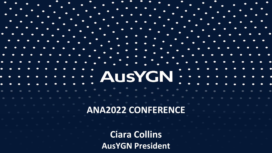#### **ANA2022 CONFERENCE**

**AusYGN** 

**Ciara Collins AusYGN President**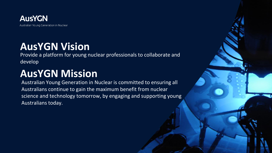

### **AusYGN Vision**

Provide a platform for young nuclear professionals to collaborate and develop

## **AusYGN Mission**

Australian Young Generation in Nuclear is committed to ensuring all Australians continue to gain the maximum benefit from nuclear science and technology tomorrow, by engaging and supporting young Australians today.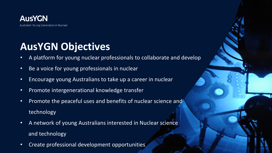

### **AusYGN Objectives**

- A platform for young nuclear professionals to collaborate and develop
- Be a voice for young professionals in nuclear
- Encourage young Australians to take up a career in nuclear
- Promote intergenerational knowledge transfer
- Promote the peaceful uses and benefits of nuclear science and technology
- A network of young Australians interested in Nuclear science and technology
- Create professional development opportunities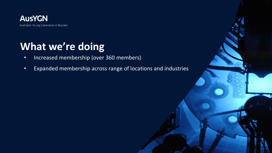

## **What we're doing**

- Increased membership (over 360 members)
- Expanded membership across range of locations and industries

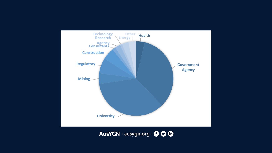

AusYGN · ausygn.org · 000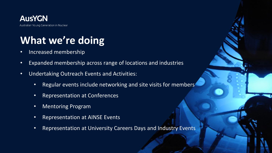

# **What we're doing**

- Increased membership
- Expanded membership across range of locations and industries
- Undertaking Outreach Events and Activities:
	- Regular events include networking and site visits for members
	- Representation at Conferences
	- Mentoring Program
	- Representation at AINSE Events
	- Representation at University Careers Days and Industry Events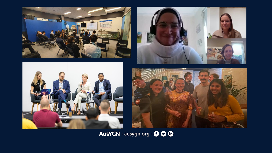







AusYGN · ausygn.org · 000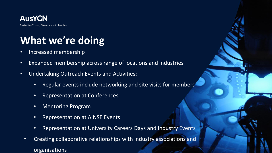

# **What we're doing**

- Increased membership
- Expanded membership across range of locations and industries
- Undertaking Outreach Events and Activities:
	- Regular events include networking and site visits for members
	- Representation at Conferences
	- Mentoring Program
	- Representation at AINSE Events
	- Representation at University Careers Days and Industry Events
	- Creating collaborative relationships with industry associations and organisations